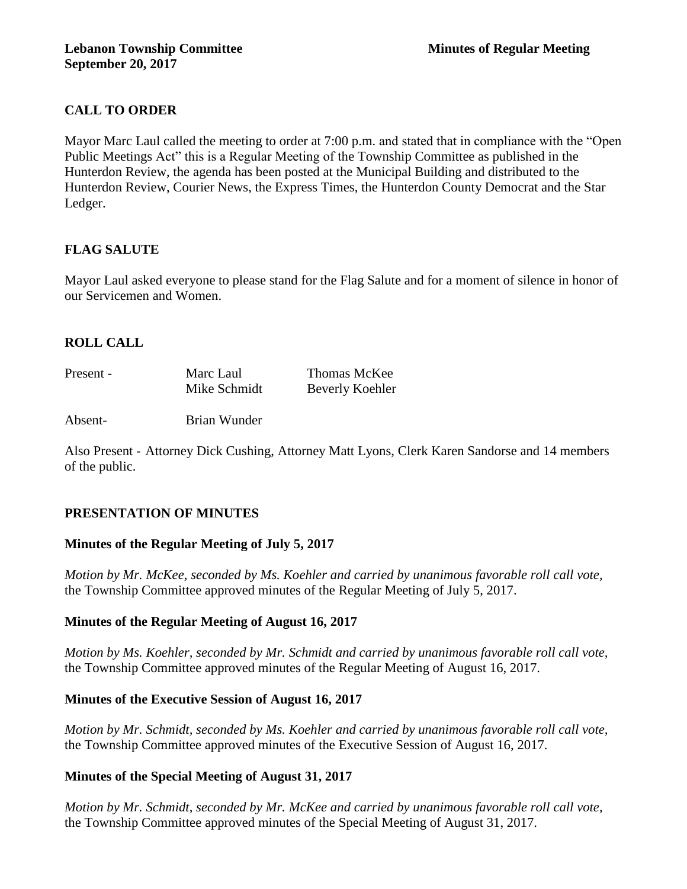# **CALL TO ORDER**

Mayor Marc Laul called the meeting to order at 7:00 p.m. and stated that in compliance with the "Open Public Meetings Act" this is a Regular Meeting of the Township Committee as published in the Hunterdon Review, the agenda has been posted at the Municipal Building and distributed to the Hunterdon Review, Courier News, the Express Times, the Hunterdon County Democrat and the Star Ledger.

# **FLAG SALUTE**

Mayor Laul asked everyone to please stand for the Flag Salute and for a moment of silence in honor of our Servicemen and Women.

# **ROLL CALL**

| Present - | Marc Laul    | Thomas McKee    |
|-----------|--------------|-----------------|
|           | Mike Schmidt | Beverly Koehler |

Absent- Brian Wunder

Also Present - Attorney Dick Cushing, Attorney Matt Lyons, Clerk Karen Sandorse and 14 members of the public.

## **PRESENTATION OF MINUTES**

## **Minutes of the Regular Meeting of July 5, 2017**

*Motion by Mr. McKee, seconded by Ms. Koehler and carried by unanimous favorable roll call vote,*  the Township Committee approved minutes of the Regular Meeting of July 5, 2017.

## **Minutes of the Regular Meeting of August 16, 2017**

*Motion by Ms. Koehler, seconded by Mr. Schmidt and carried by unanimous favorable roll call vote,*  the Township Committee approved minutes of the Regular Meeting of August 16, 2017.

## **Minutes of the Executive Session of August 16, 2017**

*Motion by Mr. Schmidt, seconded by Ms. Koehler and carried by unanimous favorable roll call vote,*  the Township Committee approved minutes of the Executive Session of August 16, 2017.

## **Minutes of the Special Meeting of August 31, 2017**

*Motion by Mr. Schmidt, seconded by Mr. McKee and carried by unanimous favorable roll call vote,*  the Township Committee approved minutes of the Special Meeting of August 31, 2017.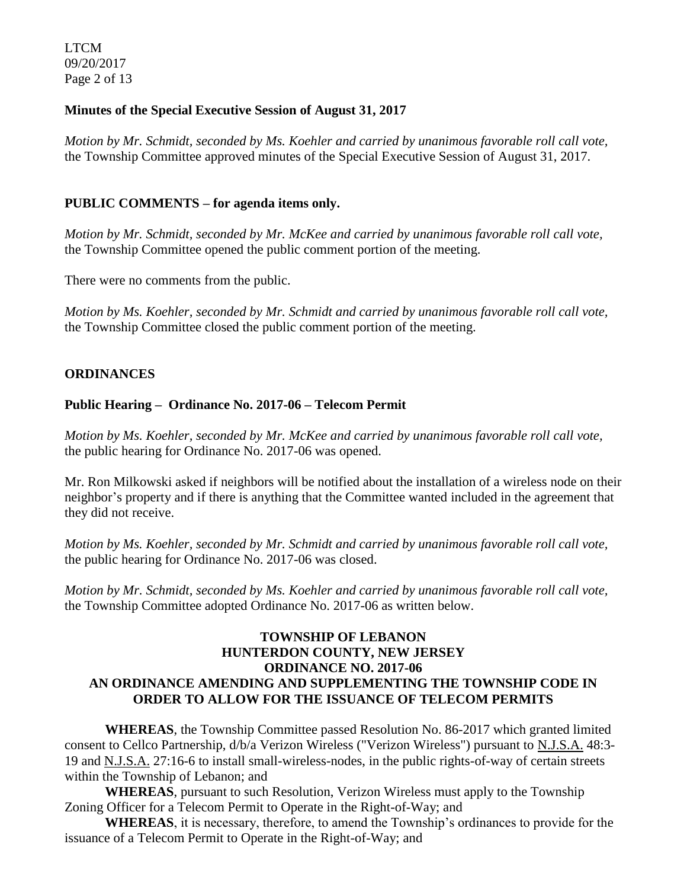LTCM 09/20/2017 Page 2 of 13

### **Minutes of the Special Executive Session of August 31, 2017**

*Motion by Mr. Schmidt, seconded by Ms. Koehler and carried by unanimous favorable roll call vote,*  the Township Committee approved minutes of the Special Executive Session of August 31, 2017.

### **PUBLIC COMMENTS – for agenda items only.**

*Motion by Mr. Schmidt, seconded by Mr. McKee and carried by unanimous favorable roll call vote,*  the Township Committee opened the public comment portion of the meeting.

There were no comments from the public.

*Motion by Ms. Koehler, seconded by Mr. Schmidt and carried by unanimous favorable roll call vote,* the Township Committee closed the public comment portion of the meeting.

### **ORDINANCES**

#### **Public Hearing – Ordinance No. 2017-06 – Telecom Permit**

*Motion by Ms. Koehler, seconded by Mr. McKee and carried by unanimous favorable roll call vote,* the public hearing for Ordinance No. 2017-06 was opened.

Mr. Ron Milkowski asked if neighbors will be notified about the installation of a wireless node on their neighbor's property and if there is anything that the Committee wanted included in the agreement that they did not receive.

*Motion by Ms. Koehler, seconded by Mr. Schmidt and carried by unanimous favorable roll call vote,* the public hearing for Ordinance No. 2017-06 was closed.

*Motion by Mr. Schmidt, seconded by Ms. Koehler and carried by unanimous favorable roll call vote,*  the Township Committee adopted Ordinance No. 2017-06 as written below.

### **TOWNSHIP OF LEBANON HUNTERDON COUNTY, NEW JERSEY ORDINANCE NO. 2017-06 AN ORDINANCE AMENDING AND SUPPLEMENTING THE TOWNSHIP CODE IN ORDER TO ALLOW FOR THE ISSUANCE OF TELECOM PERMITS**

**WHEREAS**, the Township Committee passed Resolution No. 86-2017 which granted limited consent to Cellco Partnership, d/b/a Verizon Wireless ("Verizon Wireless") pursuant to N.J.S.A. 48:3- 19 and N.J.S.A. 27:16-6 to install small-wireless-nodes, in the public rights-of-way of certain streets within the Township of Lebanon; and

**WHEREAS**, pursuant to such Resolution, Verizon Wireless must apply to the Township Zoning Officer for a Telecom Permit to Operate in the Right-of-Way; and

**WHEREAS**, it is necessary, therefore, to amend the Township's ordinances to provide for the issuance of a Telecom Permit to Operate in the Right-of-Way; and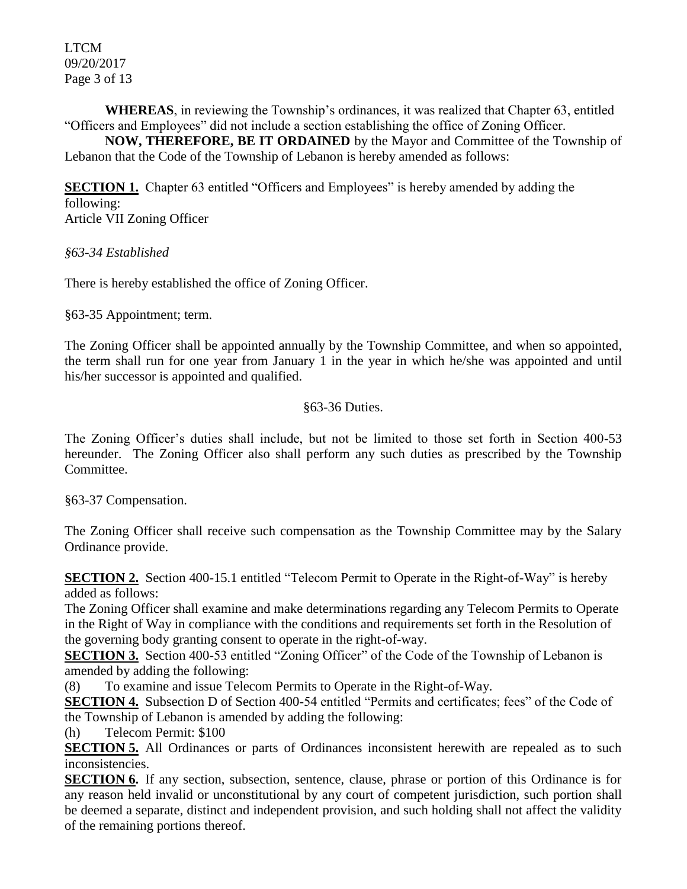LTCM 09/20/2017 Page 3 of 13

**WHEREAS**, in reviewing the Township's ordinances, it was realized that Chapter 63, entitled "Officers and Employees" did not include a section establishing the office of Zoning Officer.

**NOW, THEREFORE, BE IT ORDAINED** by the Mayor and Committee of the Township of Lebanon that the Code of the Township of Lebanon is hereby amended as follows:

**SECTION 1.** Chapter 63 entitled "Officers and Employees" is hereby amended by adding the following: Article VII Zoning Officer

*§63-34 Established*

There is hereby established the office of Zoning Officer.

§63-35 Appointment; term.

The Zoning Officer shall be appointed annually by the Township Committee, and when so appointed, the term shall run for one year from January 1 in the year in which he/she was appointed and until his/her successor is appointed and qualified.

#### §63-36 Duties.

The Zoning Officer's duties shall include, but not be limited to those set forth in Section 400-53 hereunder. The Zoning Officer also shall perform any such duties as prescribed by the Township Committee.

§63-37 Compensation.

The Zoning Officer shall receive such compensation as the Township Committee may by the Salary Ordinance provide.

**SECTION 2.** Section 400-15.1 entitled "Telecom Permit to Operate in the Right-of-Way" is hereby added as follows:

The Zoning Officer shall examine and make determinations regarding any Telecom Permits to Operate in the Right of Way in compliance with the conditions and requirements set forth in the Resolution of the governing body granting consent to operate in the right-of-way.

**SECTION 3.** Section 400-53 entitled "Zoning Officer" of the Code of the Township of Lebanon is amended by adding the following:

(8) To examine and issue Telecom Permits to Operate in the Right-of-Way.

**SECTION 4.** Subsection D of Section 400-54 entitled "Permits and certificates; fees" of the Code of the Township of Lebanon is amended by adding the following:

(h) Telecom Permit: \$100

**SECTION 5.** All Ordinances or parts of Ordinances inconsistent herewith are repealed as to such inconsistencies.

**SECTION 6.** If any section, subsection, sentence, clause, phrase or portion of this Ordinance is for any reason held invalid or unconstitutional by any court of competent jurisdiction, such portion shall be deemed a separate, distinct and independent provision, and such holding shall not affect the validity of the remaining portions thereof.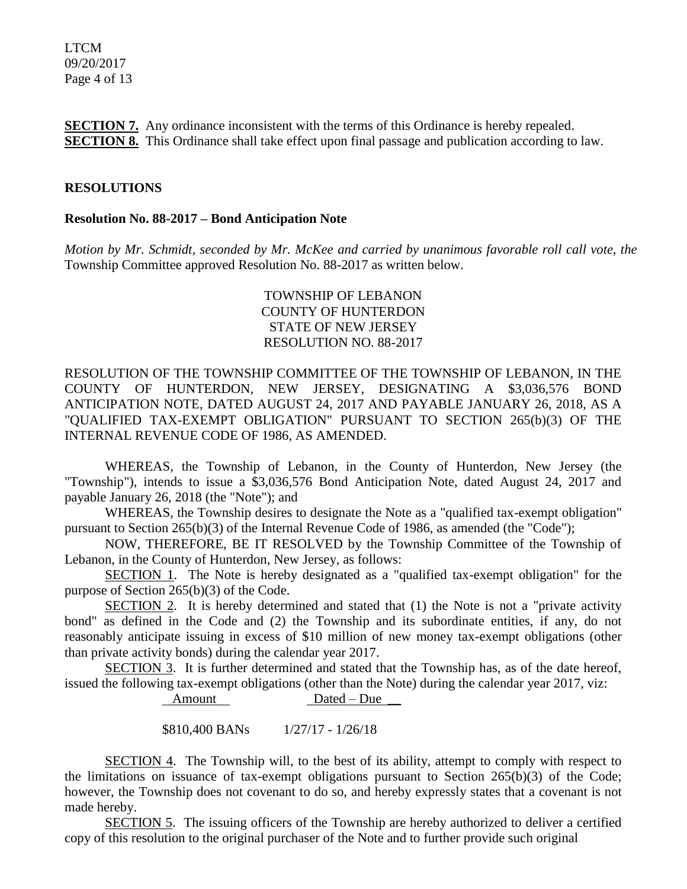LTCM 09/20/2017 Page 4 of 13

**SECTION 7.** Any ordinance inconsistent with the terms of this Ordinance is hereby repealed. **SECTION 8.** This Ordinance shall take effect upon final passage and publication according to law.

#### **RESOLUTIONS**

#### **Resolution No. 88-2017 – Bond Anticipation Note**

*Motion by Mr. Schmidt, seconded by Mr. McKee and carried by unanimous favorable roll call vote, the*  Township Committee approved Resolution No. 88-2017 as written below.

### TOWNSHIP OF LEBANON COUNTY OF HUNTERDON STATE OF NEW JERSEY RESOLUTION NO. 88-2017

RESOLUTION OF THE TOWNSHIP COMMITTEE OF THE TOWNSHIP OF LEBANON, IN THE COUNTY OF HUNTERDON, NEW JERSEY, DESIGNATING A \$3,036,576 BOND ANTICIPATION NOTE, DATED AUGUST 24, 2017 AND PAYABLE JANUARY 26, 2018, AS A "QUALIFIED TAX-EXEMPT OBLIGATION" PURSUANT TO SECTION 265(b)(3) OF THE INTERNAL REVENUE CODE OF 1986, AS AMENDED.

WHEREAS, the Township of Lebanon, in the County of Hunterdon, New Jersey (the "Township"), intends to issue a \$3,036,576 Bond Anticipation Note, dated August 24, 2017 and payable January 26, 2018 (the "Note"); and

WHEREAS, the Township desires to designate the Note as a "qualified tax-exempt obligation" pursuant to Section 265(b)(3) of the Internal Revenue Code of 1986, as amended (the "Code");

NOW, THEREFORE, BE IT RESOLVED by the Township Committee of the Township of Lebanon, in the County of Hunterdon, New Jersey, as follows:

SECTION 1. The Note is hereby designated as a "qualified tax-exempt obligation" for the purpose of Section 265(b)(3) of the Code.

SECTION 2. It is hereby determined and stated that (1) the Note is not a "private activity bond" as defined in the Code and (2) the Township and its subordinate entities, if any, do not reasonably anticipate issuing in excess of \$10 million of new money tax-exempt obligations (other than private activity bonds) during the calendar year 2017.

SECTION 3. It is further determined and stated that the Township has, as of the date hereof, issued the following tax-exempt obligations (other than the Note) during the calendar year 2017, viz:

Amount Dated – Due

\$810,400 BANs 1/27/17 - 1/26/18

SECTION 4. The Township will, to the best of its ability, attempt to comply with respect to the limitations on issuance of tax-exempt obligations pursuant to Section 265(b)(3) of the Code; however, the Township does not covenant to do so, and hereby expressly states that a covenant is not made hereby.

SECTION 5. The issuing officers of the Township are hereby authorized to deliver a certified copy of this resolution to the original purchaser of the Note and to further provide such original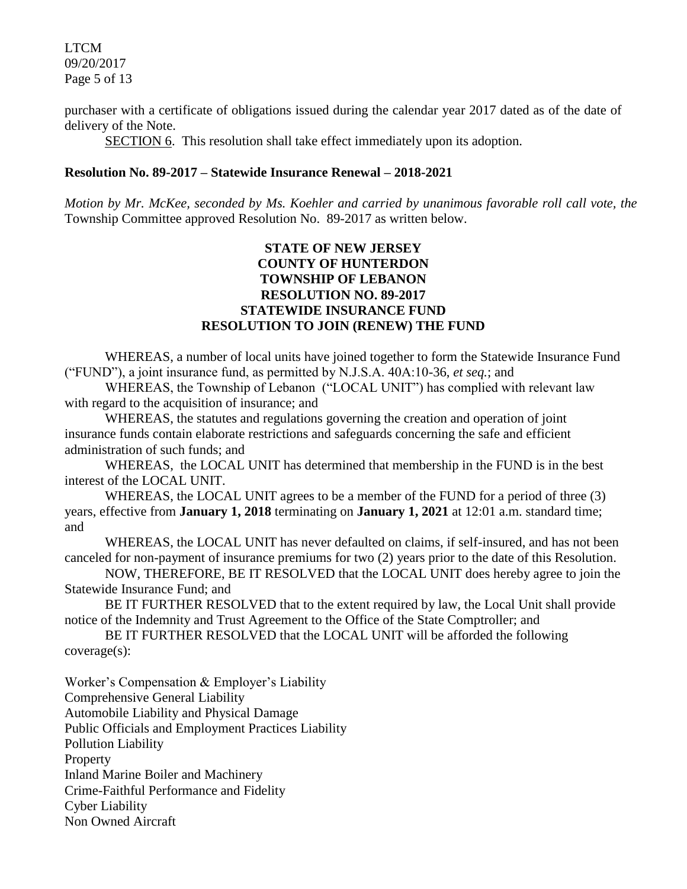LTCM 09/20/2017 Page 5 of 13

purchaser with a certificate of obligations issued during the calendar year 2017 dated as of the date of delivery of the Note.

SECTION 6. This resolution shall take effect immediately upon its adoption.

#### **Resolution No. 89-2017 – Statewide Insurance Renewal – 2018-2021**

*Motion by Mr. McKee, seconded by Ms. Koehler and carried by unanimous favorable roll call vote, the*  Township Committee approved Resolution No. 89-2017 as written below.

### **STATE OF NEW JERSEY COUNTY OF HUNTERDON TOWNSHIP OF LEBANON RESOLUTION NO. 89-2017 STATEWIDE INSURANCE FUND RESOLUTION TO JOIN (RENEW) THE FUND**

WHEREAS, a number of local units have joined together to form the Statewide Insurance Fund ("FUND"), a joint insurance fund, as permitted by N.J.S.A. 40A:10-36, *et seq.*; and

WHEREAS, the Township of Lebanon ("LOCAL UNIT") has complied with relevant law with regard to the acquisition of insurance; and

WHEREAS, the statutes and regulations governing the creation and operation of joint insurance funds contain elaborate restrictions and safeguards concerning the safe and efficient administration of such funds; and

WHEREAS, the LOCAL UNIT has determined that membership in the FUND is in the best interest of the LOCAL UNIT.

WHEREAS, the LOCAL UNIT agrees to be a member of the FUND for a period of three (3) years, effective from **January 1, 2018** terminating on **January 1, 2021** at 12:01 a.m. standard time; and

WHEREAS, the LOCAL UNIT has never defaulted on claims, if self-insured, and has not been canceled for non-payment of insurance premiums for two (2) years prior to the date of this Resolution.

NOW, THEREFORE, BE IT RESOLVED that the LOCAL UNIT does hereby agree to join the Statewide Insurance Fund; and

BE IT FURTHER RESOLVED that to the extent required by law, the Local Unit shall provide notice of the Indemnity and Trust Agreement to the Office of the State Comptroller; and

BE IT FURTHER RESOLVED that the LOCAL UNIT will be afforded the following coverage(s):

Worker's Compensation & Employer's Liability Comprehensive General Liability Automobile Liability and Physical Damage Public Officials and Employment Practices Liability Pollution Liability Property Inland Marine Boiler and Machinery Crime-Faithful Performance and Fidelity Cyber Liability Non Owned Aircraft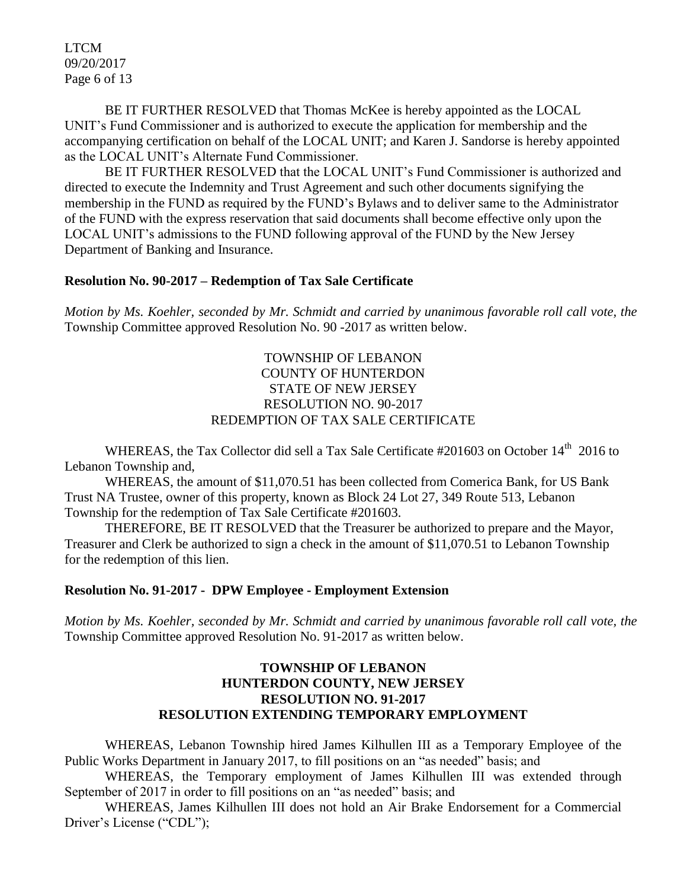LTCM 09/20/2017 Page 6 of 13

BE IT FURTHER RESOLVED that Thomas McKee is hereby appointed as the LOCAL UNIT's Fund Commissioner and is authorized to execute the application for membership and the accompanying certification on behalf of the LOCAL UNIT; and Karen J. Sandorse is hereby appointed as the LOCAL UNIT's Alternate Fund Commissioner.

BE IT FURTHER RESOLVED that the LOCAL UNIT's Fund Commissioner is authorized and directed to execute the Indemnity and Trust Agreement and such other documents signifying the membership in the FUND as required by the FUND's Bylaws and to deliver same to the Administrator of the FUND with the express reservation that said documents shall become effective only upon the LOCAL UNIT's admissions to the FUND following approval of the FUND by the New Jersey Department of Banking and Insurance.

# **Resolution No. 90-2017 – Redemption of Tax Sale Certificate**

*Motion by Ms. Koehler, seconded by Mr. Schmidt and carried by unanimous favorable roll call vote, the*  Township Committee approved Resolution No. 90 -2017 as written below.

### TOWNSHIP OF LEBANON COUNTY OF HUNTERDON STATE OF NEW JERSEY RESOLUTION NO. 90-2017 REDEMPTION OF TAX SALE CERTIFICATE

WHEREAS, the Tax Collector did sell a Tax Sale Certificate #201603 on October 14<sup>th</sup> 2016 to Lebanon Township and,

WHEREAS, the amount of \$11,070.51 has been collected from Comerica Bank, for US Bank Trust NA Trustee, owner of this property, known as Block 24 Lot 27, 349 Route 513, Lebanon Township for the redemption of Tax Sale Certificate #201603.

THEREFORE, BE IT RESOLVED that the Treasurer be authorized to prepare and the Mayor, Treasurer and Clerk be authorized to sign a check in the amount of \$11,070.51 to Lebanon Township for the redemption of this lien.

#### **Resolution No. 91-2017 - DPW Employee - Employment Extension**

*Motion by Ms. Koehler, seconded by Mr. Schmidt and carried by unanimous favorable roll call vote, the*  Township Committee approved Resolution No. 91-2017 as written below.

### **TOWNSHIP OF LEBANON HUNTERDON COUNTY, NEW JERSEY RESOLUTION NO. 91-2017 RESOLUTION EXTENDING TEMPORARY EMPLOYMENT**

WHEREAS, Lebanon Township hired James Kilhullen III as a Temporary Employee of the Public Works Department in January 2017, to fill positions on an "as needed" basis; and

WHEREAS, the Temporary employment of James Kilhullen III was extended through September of 2017 in order to fill positions on an "as needed" basis; and

WHEREAS, James Kilhullen III does not hold an Air Brake Endorsement for a Commercial Driver's License ("CDL");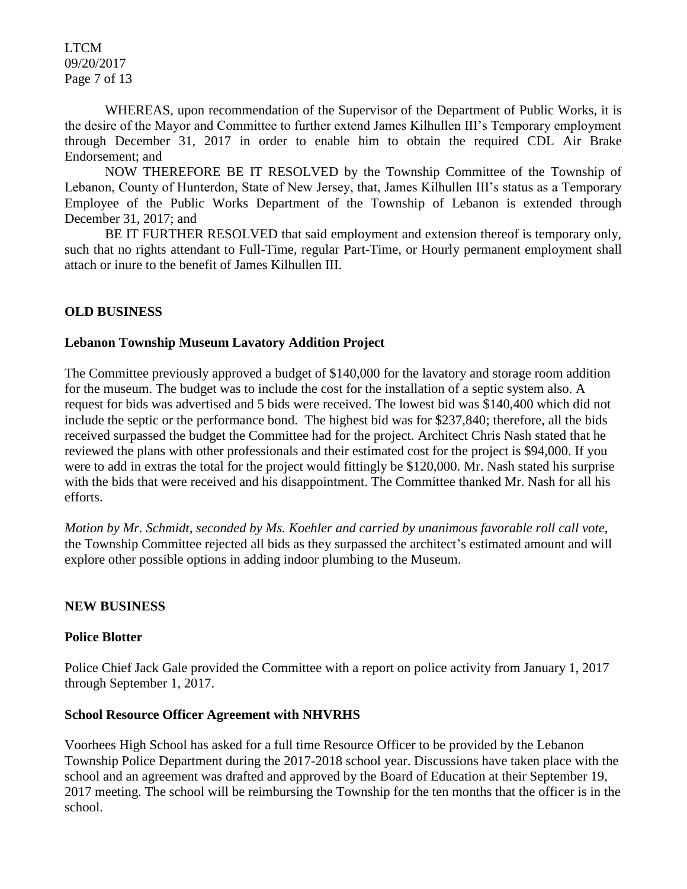LTCM 09/20/2017 Page 7 of 13

WHEREAS, upon recommendation of the Supervisor of the Department of Public Works, it is the desire of the Mayor and Committee to further extend James Kilhullen III's Temporary employment through December 31, 2017 in order to enable him to obtain the required CDL Air Brake Endorsement; and

NOW THEREFORE BE IT RESOLVED by the Township Committee of the Township of Lebanon, County of Hunterdon, State of New Jersey, that, James Kilhullen III's status as a Temporary Employee of the Public Works Department of the Township of Lebanon is extended through December 31, 2017; and

BE IT FURTHER RESOLVED that said employment and extension thereof is temporary only, such that no rights attendant to Full-Time, regular Part-Time, or Hourly permanent employment shall attach or inure to the benefit of James Kilhullen III.

### **OLD BUSINESS**

#### **Lebanon Township Museum Lavatory Addition Project**

The Committee previously approved a budget of \$140,000 for the lavatory and storage room addition for the museum. The budget was to include the cost for the installation of a septic system also. A request for bids was advertised and 5 bids were received. The lowest bid was \$140,400 which did not include the septic or the performance bond. The highest bid was for \$237,840; therefore, all the bids received surpassed the budget the Committee had for the project. Architect Chris Nash stated that he reviewed the plans with other professionals and their estimated cost for the project is \$94,000. If you were to add in extras the total for the project would fittingly be \$120,000. Mr. Nash stated his surprise with the bids that were received and his disappointment. The Committee thanked Mr. Nash for all his efforts.

*Motion by Mr. Schmidt, seconded by Ms. Koehler and carried by unanimous favorable roll call vote,*  the Township Committee rejected all bids as they surpassed the architect's estimated amount and will explore other possible options in adding indoor plumbing to the Museum.

#### **NEW BUSINESS**

#### **Police Blotter**

Police Chief Jack Gale provided the Committee with a report on police activity from January 1, 2017 through September 1, 2017.

#### **School Resource Officer Agreement with NHVRHS**

Voorhees High School has asked for a full time Resource Officer to be provided by the Lebanon Township Police Department during the 2017-2018 school year. Discussions have taken place with the school and an agreement was drafted and approved by the Board of Education at their September 19, 2017 meeting. The school will be reimbursing the Township for the ten months that the officer is in the school.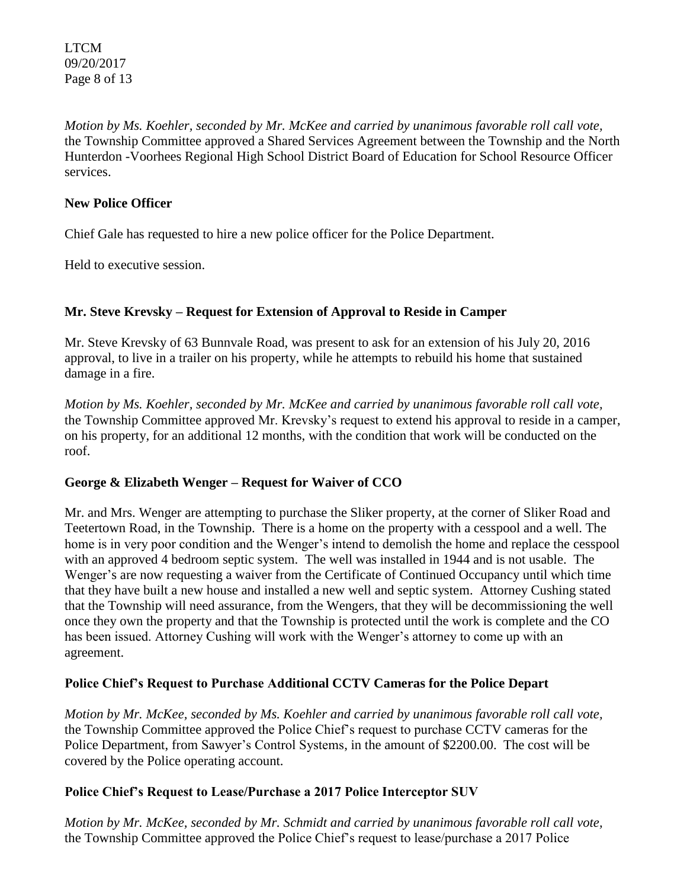LTCM 09/20/2017 Page 8 of 13

*Motion by Ms. Koehler, seconded by Mr. McKee and carried by unanimous favorable roll call vote,*  the Township Committee approved a Shared Services Agreement between the Township and the North Hunterdon -Voorhees Regional High School District Board of Education for School Resource Officer services.

### **New Police Officer**

Chief Gale has requested to hire a new police officer for the Police Department.

Held to executive session.

## **Mr. Steve Krevsky – Request for Extension of Approval to Reside in Camper**

Mr. Steve Krevsky of 63 Bunnvale Road, was present to ask for an extension of his July 20, 2016 approval, to live in a trailer on his property, while he attempts to rebuild his home that sustained damage in a fire.

*Motion by Ms. Koehler, seconded by Mr. McKee and carried by unanimous favorable roll call vote,*  the Township Committee approved Mr. Krevsky's request to extend his approval to reside in a camper, on his property, for an additional 12 months, with the condition that work will be conducted on the roof.

## **George & Elizabeth Wenger – Request for Waiver of CCO**

Mr. and Mrs. Wenger are attempting to purchase the Sliker property, at the corner of Sliker Road and Teetertown Road, in the Township. There is a home on the property with a cesspool and a well. The home is in very poor condition and the Wenger's intend to demolish the home and replace the cesspool with an approved 4 bedroom septic system. The well was installed in 1944 and is not usable. The Wenger's are now requesting a waiver from the Certificate of Continued Occupancy until which time that they have built a new house and installed a new well and septic system. Attorney Cushing stated that the Township will need assurance, from the Wengers, that they will be decommissioning the well once they own the property and that the Township is protected until the work is complete and the CO has been issued. Attorney Cushing will work with the Wenger's attorney to come up with an agreement.

## **Police Chief's Request to Purchase Additional CCTV Cameras for the Police Depart**

*Motion by Mr. McKee, seconded by Ms. Koehler and carried by unanimous favorable roll call vote,*  the Township Committee approved the Police Chief's request to purchase CCTV cameras for the Police Department, from Sawyer's Control Systems, in the amount of \$2200.00. The cost will be covered by the Police operating account.

## **Police Chief's Request to Lease/Purchase a 2017 Police Interceptor SUV**

*Motion by Mr. McKee, seconded by Mr. Schmidt and carried by unanimous favorable roll call vote,*  the Township Committee approved the Police Chief's request to lease/purchase a 2017 Police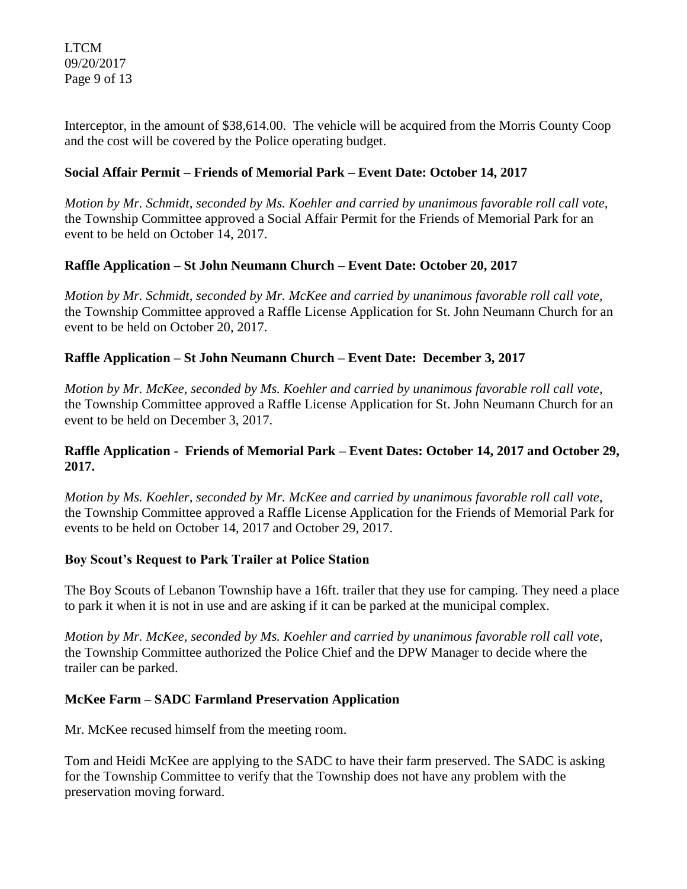LTCM 09/20/2017 Page 9 of 13

Interceptor, in the amount of \$38,614.00. The vehicle will be acquired from the Morris County Coop and the cost will be covered by the Police operating budget.

# **Social Affair Permit – Friends of Memorial Park – Event Date: October 14, 2017**

*Motion by Mr. Schmidt, seconded by Ms. Koehler and carried by unanimous favorable roll call vote,*  the Township Committee approved a Social Affair Permit for the Friends of Memorial Park for an event to be held on October 14, 2017.

## **Raffle Application – St John Neumann Church – Event Date: October 20, 2017**

*Motion by Mr. Schmidt, seconded by Mr. McKee and carried by unanimous favorable roll call vote,*  the Township Committee approved a Raffle License Application for St. John Neumann Church for an event to be held on October 20, 2017.

# **Raffle Application – St John Neumann Church – Event Date: December 3, 2017**

*Motion by Mr. McKee, seconded by Ms. Koehler and carried by unanimous favorable roll call vote,*  the Township Committee approved a Raffle License Application for St. John Neumann Church for an event to be held on December 3, 2017.

# **Raffle Application - Friends of Memorial Park – Event Dates: October 14, 2017 and October 29, 2017.**

*Motion by Ms. Koehler, seconded by Mr. McKee and carried by unanimous favorable roll call vote,*  the Township Committee approved a Raffle License Application for the Friends of Memorial Park for events to be held on October 14, 2017 and October 29, 2017.

## **Boy Scout's Request to Park Trailer at Police Station**

The Boy Scouts of Lebanon Township have a 16ft. trailer that they use for camping. They need a place to park it when it is not in use and are asking if it can be parked at the municipal complex.

*Motion by Mr. McKee, seconded by Ms. Koehler and carried by unanimous favorable roll call vote,*  the Township Committee authorized the Police Chief and the DPW Manager to decide where the trailer can be parked.

## **McKee Farm – SADC Farmland Preservation Application**

Mr. McKee recused himself from the meeting room.

Tom and Heidi McKee are applying to the SADC to have their farm preserved. The SADC is asking for the Township Committee to verify that the Township does not have any problem with the preservation moving forward.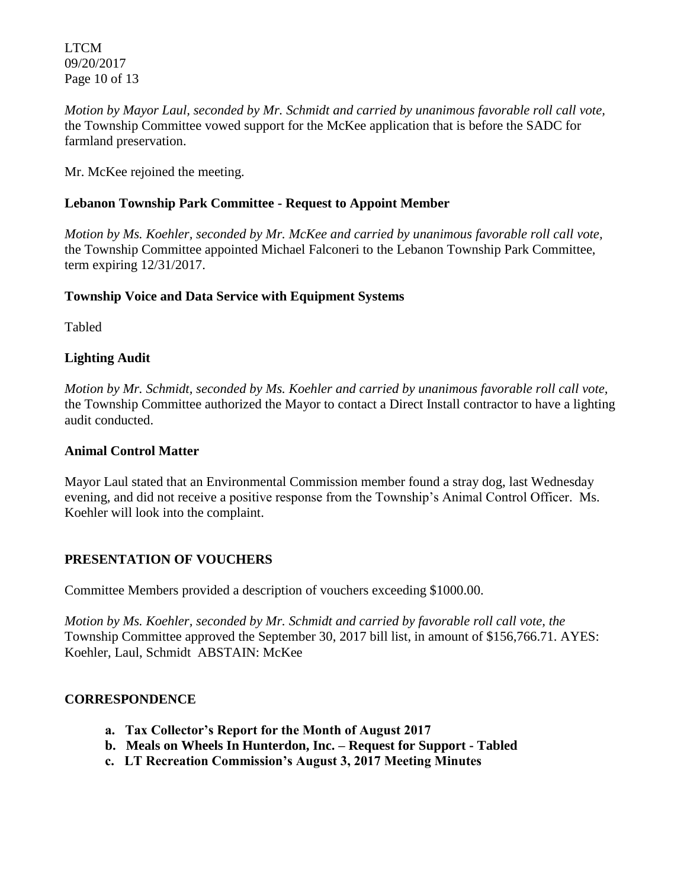LTCM 09/20/2017 Page 10 of 13

*Motion by Mayor Laul, seconded by Mr. Schmidt and carried by unanimous favorable roll call vote,*  the Township Committee vowed support for the McKee application that is before the SADC for farmland preservation.

Mr. McKee rejoined the meeting.

# **Lebanon Township Park Committee - Request to Appoint Member**

*Motion by Ms. Koehler, seconded by Mr. McKee and carried by unanimous favorable roll call vote,*  the Township Committee appointed Michael Falconeri to the Lebanon Township Park Committee, term expiring 12/31/2017.

# **Township Voice and Data Service with Equipment Systems**

Tabled

# **Lighting Audit**

*Motion by Mr. Schmidt, seconded by Ms. Koehler and carried by unanimous favorable roll call vote,*  the Township Committee authorized the Mayor to contact a Direct Install contractor to have a lighting audit conducted.

## **Animal Control Matter**

Mayor Laul stated that an Environmental Commission member found a stray dog, last Wednesday evening, and did not receive a positive response from the Township's Animal Control Officer. Ms. Koehler will look into the complaint.

## **PRESENTATION OF VOUCHERS**

Committee Members provided a description of vouchers exceeding \$1000.00.

*Motion by Ms. Koehler, seconded by Mr. Schmidt and carried by favorable roll call vote, the* Township Committee approved the September 30, 2017 bill list, in amount of \$156,766.71. AYES: Koehler, Laul, Schmidt ABSTAIN: McKee

## **CORRESPONDENCE**

- **a. Tax Collector's Report for the Month of August 2017**
- **b. Meals on Wheels In Hunterdon, Inc. – Request for Support - Tabled**
- **c. LT Recreation Commission's August 3, 2017 Meeting Minutes**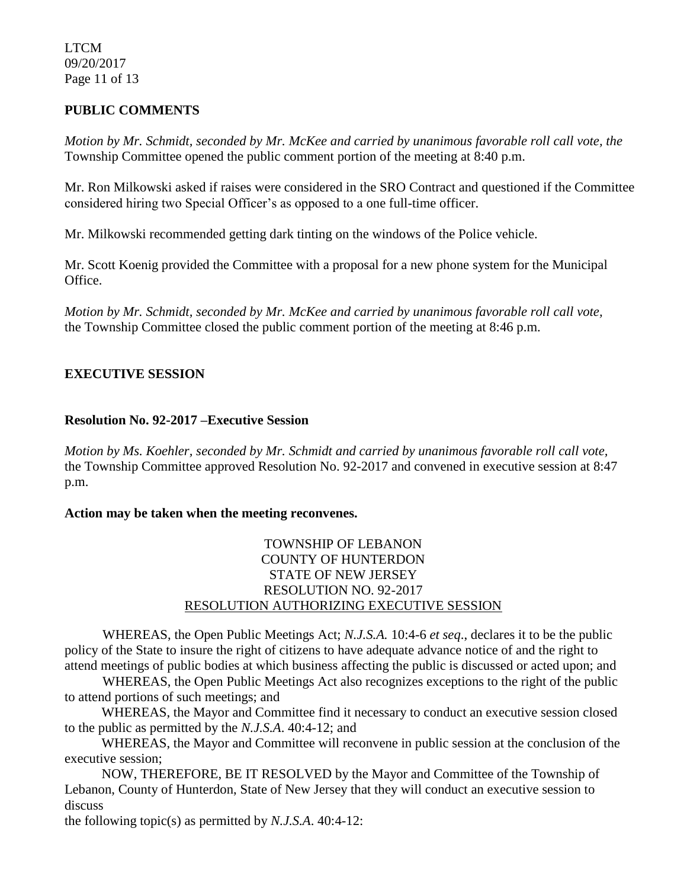LTCM 09/20/2017 Page 11 of 13

# **PUBLIC COMMENTS**

*Motion by Mr. Schmidt, seconded by Mr. McKee and carried by unanimous favorable roll call vote, the* Township Committee opened the public comment portion of the meeting at 8:40 p.m.

Mr. Ron Milkowski asked if raises were considered in the SRO Contract and questioned if the Committee considered hiring two Special Officer's as opposed to a one full-time officer.

Mr. Milkowski recommended getting dark tinting on the windows of the Police vehicle.

Mr. Scott Koenig provided the Committee with a proposal for a new phone system for the Municipal Office.

*Motion by Mr. Schmidt, seconded by Mr. McKee and carried by unanimous favorable roll call vote,* the Township Committee closed the public comment portion of the meeting at 8:46 p.m.

# **EXECUTIVE SESSION**

### **Resolution No. 92-2017 –Executive Session**

*Motion by Ms. Koehler, seconded by Mr. Schmidt and carried by unanimous favorable roll call vote,* the Township Committee approved Resolution No. 92-2017 and convened in executive session at 8:47 p.m.

#### **Action may be taken when the meeting reconvenes.**

# TOWNSHIP OF LEBANON COUNTY OF HUNTERDON STATE OF NEW JERSEY RESOLUTION NO. 92-2017 RESOLUTION AUTHORIZING EXECUTIVE SESSION

WHEREAS, the Open Public Meetings Act; *N.J.S.A.* 10:4-6 *et seq*., declares it to be the public policy of the State to insure the right of citizens to have adequate advance notice of and the right to attend meetings of public bodies at which business affecting the public is discussed or acted upon; and

WHEREAS, the Open Public Meetings Act also recognizes exceptions to the right of the public to attend portions of such meetings; and

 WHEREAS, the Mayor and Committee find it necessary to conduct an executive session closed to the public as permitted by the *N.J.S.A*. 40:4-12; and

 WHEREAS, the Mayor and Committee will reconvene in public session at the conclusion of the executive session;

 NOW, THEREFORE, BE IT RESOLVED by the Mayor and Committee of the Township of Lebanon, County of Hunterdon, State of New Jersey that they will conduct an executive session to discuss

the following topic(s) as permitted by *N.J.S.A*. 40:4-12: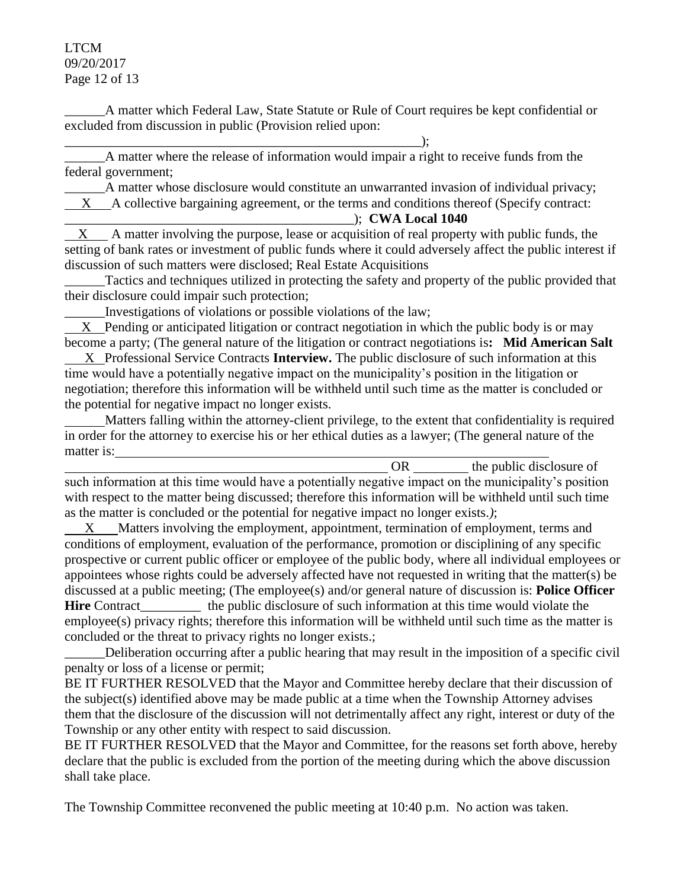LTCM 09/20/2017 Page 12 of 13

\_\_\_\_\_\_A matter which Federal Law, State Statute or Rule of Court requires be kept confidential or excluded from discussion in public (Provision relied upon:

\_\_\_\_\_\_\_\_\_\_\_\_\_\_\_\_\_\_\_\_\_\_\_\_\_\_\_\_\_\_\_\_\_\_\_\_\_\_\_\_\_\_\_\_\_\_\_\_\_\_\_\_\_);

\_\_\_\_\_\_A matter where the release of information would impair a right to receive funds from the federal government;

A matter whose disclosure would constitute an unwarranted invasion of individual privacy; X A collective bargaining agreement, or the terms and conditions thereof (Specify contract:

\_\_\_\_\_\_\_\_\_\_\_\_\_\_\_\_\_\_\_\_\_\_\_\_\_\_\_\_\_\_\_\_\_\_\_\_\_\_\_\_\_\_\_); **CWA Local 1040**

X A matter involving the purpose, lease or acquisition of real property with public funds, the setting of bank rates or investment of public funds where it could adversely affect the public interest if discussion of such matters were disclosed; Real Estate Acquisitions

Tactics and techniques utilized in protecting the safety and property of the public provided that their disclosure could impair such protection;

\_\_\_\_\_\_Investigations of violations or possible violations of the law;

 X Pending or anticipated litigation or contract negotiation in which the public body is or may become a party; (The general nature of the litigation or contract negotiations is**: Mid American Salt**

 X Professional Service Contracts **Interview.** The public disclosure of such information at this time would have a potentially negative impact on the municipality's position in the litigation or negotiation; therefore this information will be withheld until such time as the matter is concluded or the potential for negative impact no longer exists.

 Matters falling within the attorney-client privilege, to the extent that confidentiality is required in order for the attorney to exercise his or her ethical duties as a lawyer; (The general nature of the matter is:

|                                                                                                         | ()R | the public disclosure of |
|---------------------------------------------------------------------------------------------------------|-----|--------------------------|
| such information at this time would have a potentially negative impact on the municipality's position   |     |                          |
| with respect to the matter being discussed; therefore this information will be withheld until such time |     |                          |
| as the matter is concluded or the potential for negative impact no longer exists.);                     |     |                          |

 X Matters involving the employment, appointment, termination of employment, terms and conditions of employment, evaluation of the performance, promotion or disciplining of any specific prospective or current public officer or employee of the public body, where all individual employees or appointees whose rights could be adversely affected have not requested in writing that the matter(s) be discussed at a public meeting; (The employee(s) and/or general nature of discussion is: **Police Officer Hire** Contract the public disclosure of such information at this time would violate the employee(s) privacy rights; therefore this information will be withheld until such time as the matter is concluded or the threat to privacy rights no longer exists.;

Deliberation occurring after a public hearing that may result in the imposition of a specific civil penalty or loss of a license or permit;

BE IT FURTHER RESOLVED that the Mayor and Committee hereby declare that their discussion of the subject(s) identified above may be made public at a time when the Township Attorney advises them that the disclosure of the discussion will not detrimentally affect any right, interest or duty of the Township or any other entity with respect to said discussion.

BE IT FURTHER RESOLVED that the Mayor and Committee, for the reasons set forth above, hereby declare that the public is excluded from the portion of the meeting during which the above discussion shall take place.

The Township Committee reconvened the public meeting at 10:40 p.m. No action was taken.